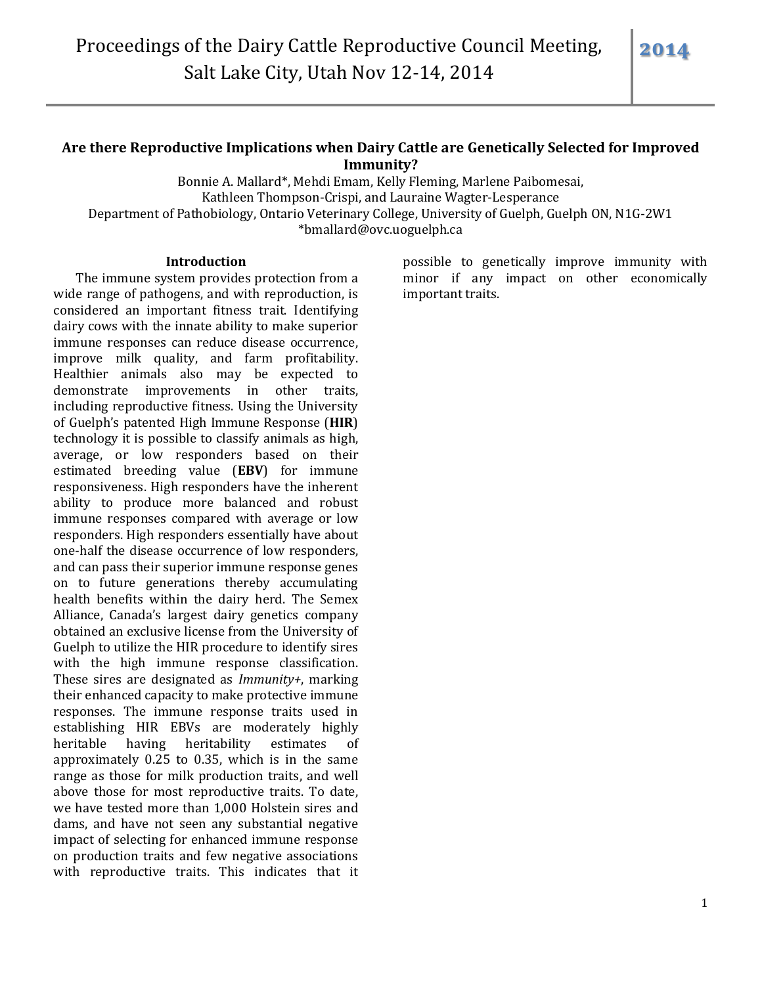# **Are there Reproductive Implications when Dairy Cattle are Genetically Selected for Improved Immunity?**

Bonnie A. Mallard\*, Mehdi Emam, Kelly Fleming, Marlene Paibomesai, Kathleen Thompson-Crispi, and Lauraine Wagter-Lesperance Department of Pathobiology, Ontario Veterinary College, University of Guelph, Guelph ON, N1G-2W1 \*bmallard@ovc.uoguelph.ca

### **Introduction**

The immune system provides protection from a wide range of pathogens, and with reproduction, is considered an important fitness trait. Identifying dairy cows with the innate ability to make superior immune responses can reduce disease occurrence, improve milk quality, and farm profitability. Healthier animals also may be expected to demonstrate improvements in other traits, including reproductive fitness. Using the University of Guelph's patented High Immune Response (**HIR**) technology it is possible to classify animals as high, average, or low responders based on their estimated breeding value (**EBV**) for immune responsiveness. High responders have the inherent ability to produce more balanced and robust immune responses compared with average or low responders. High responders essentially have about one-half the disease occurrence of low responders, and can pass their superior immune response genes on to future generations thereby accumulating health benefits within the dairy herd. The Semex Alliance, Canada's largest dairy genetics company obtained an exclusive license from the University of Guelph to utilize the HIR procedure to identify sires with the high immune response classification. These sires are designated as *Immunity+*, marking their enhanced capacity to make protective immune responses. The immune response traits used in establishing HIR EBVs are moderately highly heritable having heritability estimates of approximately 0.25 to 0.35, which is in the same range as those for milk production traits, and well above those for most reproductive traits. To date, we have tested more than 1,000 Holstein sires and dams, and have not seen any substantial negative impact of selecting for enhanced immune response on production traits and few negative associations with reproductive traits. This indicates that it

possible to genetically improve immunity with minor if any impact on other economically important traits.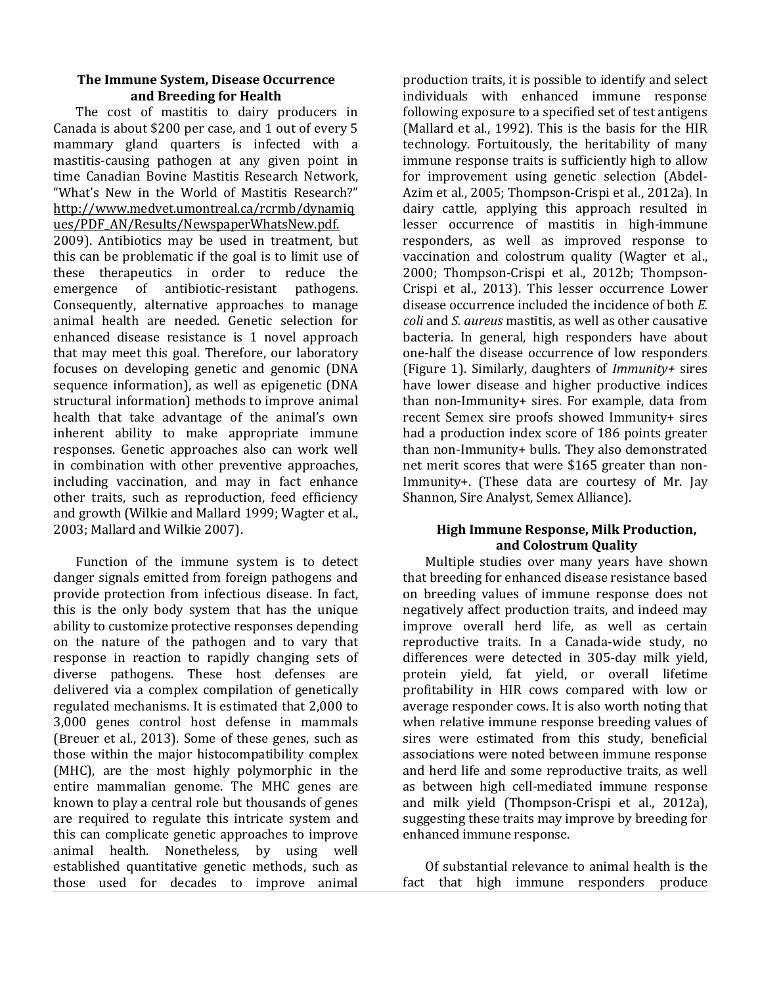## **The Immune System, Disease Occurrence and Breeding for Health**

The cost of mastitis to dairy producers in Canada is about \$200 per case, and 1 out of every 5 mammary gland quarters is infected with a mastitis-causing pathogen at any given point in time Canadian Bovine Mastitis Research Network, "What's New in the World of Mastitis Research?" [http://www.medvet.umontreal.ca/rcrmb/dynamiq](http://www.medvet.umontreal.ca/rcrmb/dynamiques/PDF_AN/Results/NewspaperWhatsNew.pdf) [ues/PDF\\_AN/Results/NewspaperWhatsNew.pdf.](http://www.medvet.umontreal.ca/rcrmb/dynamiques/PDF_AN/Results/NewspaperWhatsNew.pdf)

2009). Antibiotics may be used in treatment, but this can be problematic if the goal is to limit use of these therapeutics in order to reduce the emergence of antibiotic-resistant pathogens. Consequently, alternative approaches to manage animal health are needed. Genetic selection for enhanced disease resistance is 1 novel approach that may meet this goal. Therefore, our laboratory focuses on developing genetic and genomic (DNA sequence information), as well as epigenetic (DNA structural information) methods to improve animal health that take advantage of the animal's own inherent ability to make appropriate immune responses. Genetic approaches also can work well in combination with other preventive approaches, including vaccination, and may in fact enhance other traits, such as reproduction, feed efficiency and growth (Wilkie and Mallard 1999; Wagter et al., 2003; Mallard and Wilkie 2007).

Function of the immune system is to detect danger signals emitted from foreign pathogens and provide protection from infectious disease. In fact, this is the only body system that has the unique ability to customize protective responses depending on the nature of the pathogen and to vary that response in reaction to rapidly changing sets of diverse pathogens. These host defenses are delivered via a complex compilation of genetically regulated mechanisms. It is estimated that 2,000 to 3,000 genes control host defense in mammals (Breuer et al., 2013). Some of these genes, such as those within the major histocompatibility complex (MHC), are the most highly polymorphic in the entire mammalian genome. The MHC genes are known to play a central role but thousands of genes are required to regulate this intricate system and this can complicate genetic approaches to improve animal health. Nonetheless, by using well established quantitative genetic methods, such as those used for decades to improve animal

production traits, it is possible to identify and select individuals with enhanced immune response following exposure to a specified set of test antigens (Mallard et al., 1992). This is the basis for the HIR technology. Fortuitously, the heritability of many immune response traits is sufficiently high to allow for improvement using genetic selection (Abdel-Azim et al., 2005; Thompson-Crispi et al., 2012a). In dairy cattle, applying this approach resulted in lesser occurrence of mastitis in high-immune responders, as well as improved response to vaccination and colostrum quality (Wagter et al., 2000; Thompson-Crispi et al., 2012b; Thompson-Crispi et al., 2013). This lesser occurrence Lower disease occurrence included the incidence of both *E. coli* and *S. aureus* mastitis, as well as other causative bacteria. In general, high responders have about one-half the disease occurrence of low responders (Figure 1). Similarly, daughters of *Immunity+* sires have lower disease and higher productive indices than non-Immunity+ sires. For example, data from recent Semex sire proofs showed Immunity+ sires had a production index score of 186 points greater than non-Immunity+ bulls. They also demonstrated net merit scores that were \$165 greater than non-Immunity+. (These data are courtesy of Mr. Jay Shannon, Sire Analyst, Semex Alliance).

## **High Immune Response, Milk Production, and Colostrum Quality**

Multiple studies over many years have shown that breeding for enhanced disease resistance based on breeding values of immune response does not negatively affect production traits, and indeed may improve overall herd life, as well as certain reproductive traits. In a Canada-wide study, no differences were detected in 305-day milk yield, protein yield, fat yield, or overall lifetime profitability in HIR cows compared with low or average responder cows. It is also worth noting that when relative immune response breeding values of sires were estimated from this study, beneficial associations were noted between immune response and herd life and some reproductive traits, as well as between high cell-mediated immune response and milk yield (Thompson-Crispi et al., 2012a), suggesting these traits may improve by breeding for enhanced immune response.

Of substantial relevance to animal health is the fact that high immune responders produce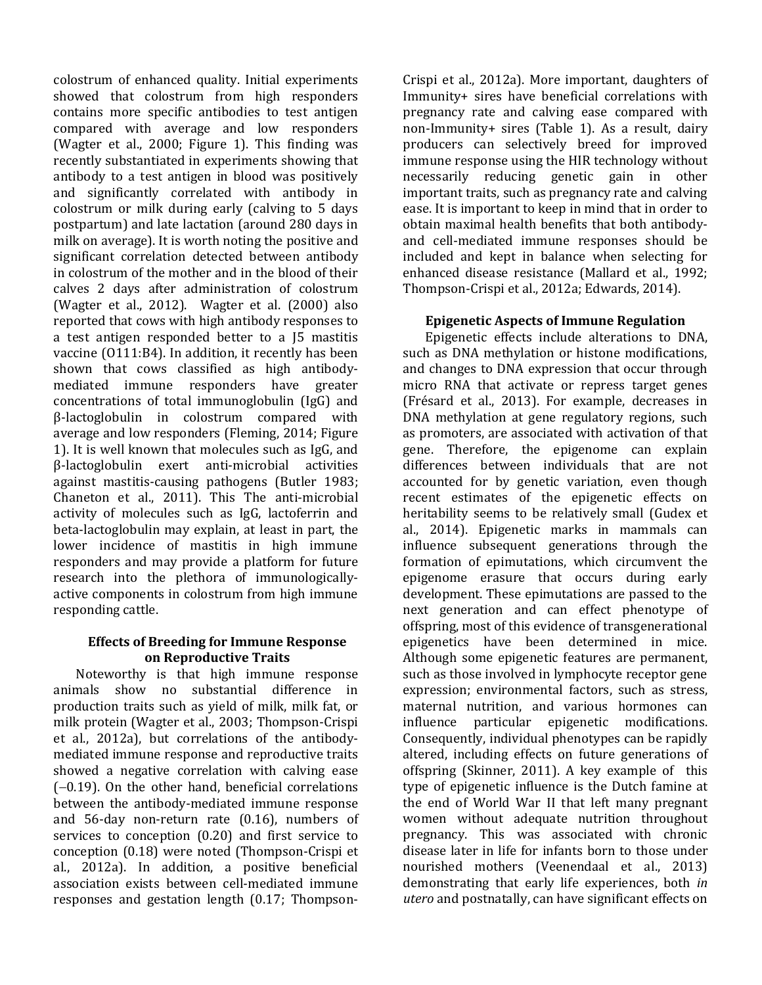colostrum of enhanced quality. Initial experiments showed that colostrum from high responders contains more specific antibodies to test antigen compared with average and low responders (Wagter et al., 2000; Figure 1). This finding was recently substantiated in experiments showing that antibody to a test antigen in blood was positively and significantly correlated with antibody in colostrum or milk during early (calving to 5 days postpartum) and late lactation (around 280 days in milk on average). It is worth noting the positive and significant correlation detected between antibody in colostrum of the mother and in the blood of their calves 2 days after administration of colostrum (Wagter et al., 2012). Wagter et al. (2000) also reported that cows with high antibody responses to a test antigen responded better to a J5 mastitis vaccine (O111:B4). In addition, it recently has been shown that cows classified as high antibodymediated immune responders have greater concentrations of total immunoglobulin (IgG) and β-lactoglobulin in colostrum compared with average and low responders (Fleming, 2014; Figure 1). It is well known that molecules such as IgG, and β-lactoglobulin exert anti-microbial activities against mastitis-causing pathogens (Butler 1983; Chaneton et al., 2011). This The anti-microbial activity of molecules such as IgG, lactoferrin and beta-lactoglobulin may explain, at least in part, the lower incidence of mastitis in high immune responders and may provide a platform for future research into the plethora of immunologicallyactive components in colostrum from high immune responding cattle.

## **Effects of Breeding for Immune Response on Reproductive Traits**

Noteworthy is that high immune response animals show no substantial difference in production traits such as yield of milk, milk fat, or milk protein (Wagter et al., 2003; Thompson-Crispi et al., 2012a), but correlations of the antibodymediated immune response and reproductive traits showed a negative correlation with calving ease  $(-0.19)$ . On the other hand, beneficial correlations between the antibody-mediated immune response and 56-day non-return rate (0.16), numbers of services to conception (0.20) and first service to conception (0.18) were noted (Thompson-Crispi et al., 2012a). In addition, a positive beneficial association exists between cell-mediated immune responses and gestation length (0.17; ThompsonCrispi et al., 2012a). More important, daughters of Immunity+ sires have beneficial correlations with pregnancy rate and calving ease compared with non-Immunity+ sires (Table 1). As a result, dairy producers can selectively breed for improved immune response using the HIR technology without necessarily reducing genetic gain in other important traits, such as pregnancy rate and calving ease. It is important to keep in mind that in order to obtain maximal health benefits that both antibodyand cell-mediated immune responses should be included and kept in balance when selecting for enhanced disease resistance (Mallard et al., 1992; Thompson-Crispi et al., 2012a; Edwards, 2014).

# **Epigenetic Aspects of Immune Regulation**

Epigenetic effects include alterations to DNA, such as DNA methylation or histone modifications, and changes to DNA expression that occur through micro RNA that activate or repress target genes (Frésard et al., 2013). For example, decreases in DNA methylation at gene regulatory regions, such as promoters, are associated with activation of that gene. Therefore, the epigenome can explain differences between individuals that are not accounted for by genetic variation, even though recent estimates of the epigenetic effects on heritability seems to be relatively small (Gudex et al., 2014). Epigenetic marks in mammals can influence subsequent generations through the formation of epimutations, which circumvent the epigenome erasure that occurs during early development. These epimutations are passed to the next generation and can effect phenotype of offspring, most of this evidence of transgenerational epigenetics have been determined in mice. Although some epigenetic features are permanent, such as those involved in lymphocyte receptor gene expression; environmental factors, such as stress, maternal nutrition, and various hormones can influence particular epigenetic modifications. Consequently, individual phenotypes can be rapidly altered, including effects on future generations of offspring (Skinner, 2011). A key example of this type of epigenetic influence is the Dutch famine at the end of World War II that left many pregnant women without adequate nutrition throughout pregnancy. This was associated with chronic disease later in life for infants born to those under nourished mothers (Veenendaal et al., 2013) demonstrating that early life experiences, both *in utero* and postnatally, can have significant effects on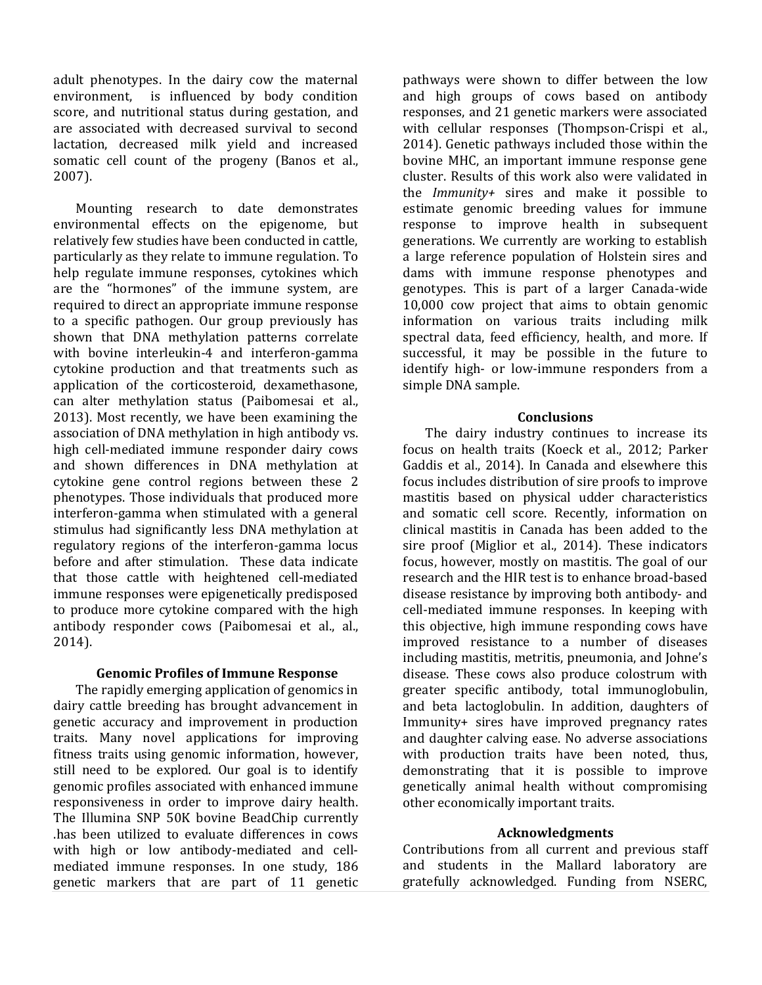adult phenotypes. In the dairy cow the maternal environment, is influenced by body condition score, and nutritional status during gestation, and are associated with decreased survival to second lactation, decreased milk yield and increased somatic cell count of the progeny (Banos et al., 2007).

Mounting research to date demonstrates environmental effects on the epigenome, but relatively few studies have been conducted in cattle, particularly as they relate to immune regulation. To help regulate immune responses, cytokines which are the "hormones" of the immune system, are required to direct an appropriate immune response to a specific pathogen. Our group previously has shown that DNA methylation patterns correlate with bovine interleukin-4 and interferon-gamma cytokine production and that treatments such as application of the corticosteroid, dexamethasone, can alter methylation status (Paibomesai et al., 2013). Most recently, we have been examining the association of DNA methylation in high antibody vs. high cell-mediated immune responder dairy cows and shown differences in DNA methylation at cytokine gene control regions between these 2 phenotypes. Those individuals that produced more interferon-gamma when stimulated with a general stimulus had significantly less DNA methylation at regulatory regions of the interferon-gamma locus before and after stimulation. These data indicate that those cattle with heightened cell-mediated immune responses were epigenetically predisposed to produce more cytokine compared with the high antibody responder cows (Paibomesai et al., al., 2014).

## **Genomic Profiles of Immune Response**

The rapidly emerging application of genomics in dairy cattle breeding has brought advancement in genetic accuracy and improvement in production traits. Many novel applications for improving fitness traits using genomic information, however, still need to be explored. Our goal is to identify genomic profiles associated with enhanced immune responsiveness in order to improve dairy health. The Illumina SNP 50K bovine BeadChip currently .has been utilized to evaluate differences in cows with high or low antibody-mediated and cellmediated immune responses. In one study, 186 genetic markers that are part of 11 genetic

pathways were shown to differ between the low and high groups of cows based on antibody responses, and 21 genetic markers were associated with cellular responses (Thompson-Crispi et al., 2014). Genetic pathways included those within the bovine MHC, an important immune response gene cluster. Results of this work also were validated in the *Immunity+* sires and make it possible to estimate genomic breeding values for immune response to improve health in subsequent generations. We currently are working to establish a large reference population of Holstein sires and dams with immune response phenotypes and genotypes. This is part of a larger Canada-wide 10,000 cow project that aims to obtain genomic information on various traits including milk spectral data, feed efficiency, health, and more. If successful, it may be possible in the future to identify high- or low-immune responders from a simple DNA sample.

#### **Conclusions**

The dairy industry continues to increase its focus on health traits (Koeck et al., 2012; Parker Gaddis et al., 2014). In Canada and elsewhere this focus includes distribution of sire proofs to improve mastitis based on physical udder characteristics and somatic cell score. Recently, information on clinical mastitis in Canada has been added to the sire proof (Miglior et al., 2014). These indicators focus, however, mostly on mastitis. The goal of our research and the HIR test is to enhance broad-based disease resistance by improving both antibody- and cell-mediated immune responses. In keeping with this objective, high immune responding cows have improved resistance to a number of diseases including mastitis, metritis, pneumonia, and Johne's disease. These cows also produce colostrum with greater specific antibody, total immunoglobulin, and beta lactoglobulin. In addition, daughters of Immunity+ sires have improved pregnancy rates and daughter calving ease. No adverse associations with production traits have been noted, thus, demonstrating that it is possible to improve genetically animal health without compromising other economically important traits.

#### **Acknowledgments**

Contributions from all current and previous staff and students in the Mallard laboratory are gratefully acknowledged. Funding from NSERC,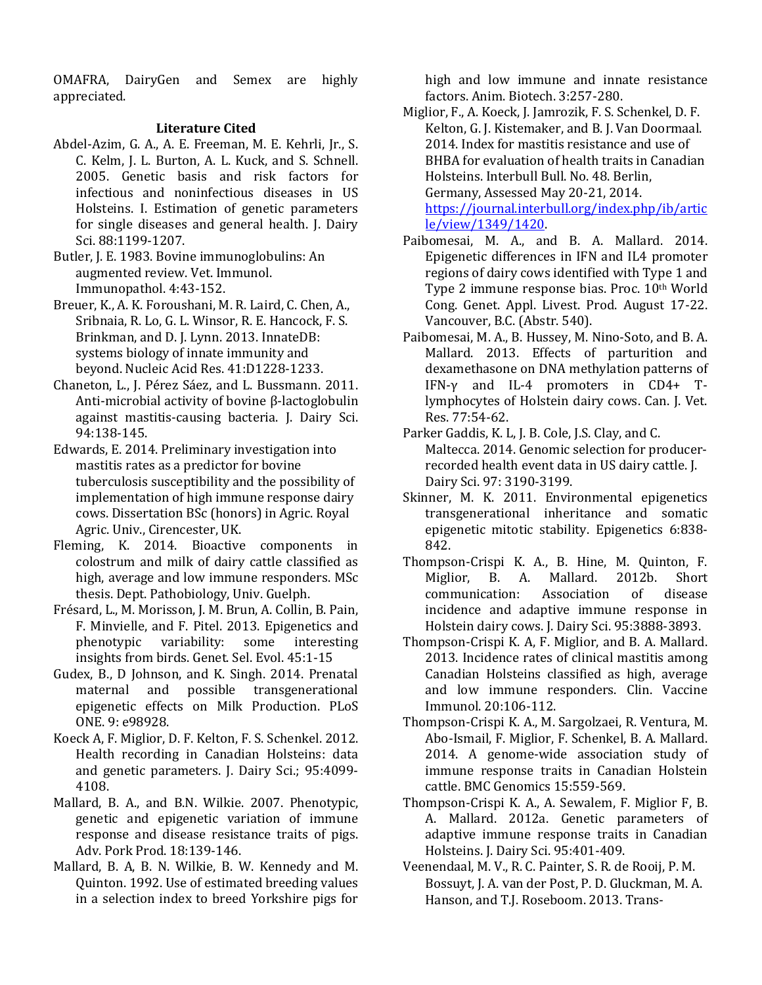OMAFRA, DairyGen and Semex are highly appreciated.

## **Literature Cited**

- Abdel-Azim, G. A., A. E. Freeman, M. E. Kehrli, Jr., S. C. Kelm, J. L. Burton, A. L. Kuck, and S. Schnell. 2005. Genetic basis and risk factors for infectious and noninfectious diseases in US Holsteins. I. Estimation of genetic parameters for single diseases and general health. J. Dairy Sci. 88:1199-1207.
- Butler, J. E. 1983. Bovine immunoglobulins: An augmented review. Vet. Immunol. Immunopathol. 4:43-152.
- [Breuer, K.,](http://www.ncbi.nlm.nih.gov/pubmed?term=Breuer%20K%5BAuthor%5D&cauthor=true&cauthor_uid=23180781) A. K[. Foroushani, M](http://www.ncbi.nlm.nih.gov/pubmed?term=Foroushani%20AK%5BAuthor%5D&cauthor=true&cauthor_uid=23180781). R. [Laird,](http://www.ncbi.nlm.nih.gov/pubmed?term=Laird%20MR%5BAuthor%5D&cauthor=true&cauthor_uid=23180781) C. [Chen, A.,](http://www.ncbi.nlm.nih.gov/pubmed?term=Chen%20C%5BAuthor%5D&cauthor=true&cauthor_uid=23180781) [Sribnaia, R](http://www.ncbi.nlm.nih.gov/pubmed?term=Sribnaia%20A%5BAuthor%5D&cauthor=true&cauthor_uid=23180781). [Lo, G](http://www.ncbi.nlm.nih.gov/pubmed?term=Lo%20R%5BAuthor%5D&cauthor=true&cauthor_uid=23180781). L[. Winsor,](http://www.ncbi.nlm.nih.gov/pubmed?term=Winsor%20GL%5BAuthor%5D&cauthor=true&cauthor_uid=23180781) R. E. [Hancock, F](http://www.ncbi.nlm.nih.gov/pubmed?term=Hancock%20RE%5BAuthor%5D&cauthor=true&cauthor_uid=23180781). S. [Brinkman,](http://www.ncbi.nlm.nih.gov/pubmed?term=Brinkman%20FS%5BAuthor%5D&cauthor=true&cauthor_uid=23180781) and D. J[. Lynn.](http://www.ncbi.nlm.nih.gov/pubmed?term=Lynn%20DJ%5BAuthor%5D&cauthor=true&cauthor_uid=23180781) 2013. InnateDB: systems biology of innate immunity and beyond. Nucleic Acid Res. 41:D1228-1233.
- Chaneton, L., J. Pérez Sáez, and L. Bussmann. 2011. Anti-microbial activity of bovine β-lactoglobulin against mastitis-causing bacteria. J. Dairy Sci. 94:138-145.
- Edwards, E. 2014. Preliminary investigation into mastitis rates as a predictor for bovine tuberculosis susceptibility and the possibility of implementation of high immune response dairy cows. Dissertation BSc (honors) in Agric. Royal Agric. Univ., Cirencester, UK.
- Fleming, K. 2014. Bioactive components in colostrum and milk of dairy cattle classified as high, average and low immune responders. MSc thesis. Dept. Pathobiology, Univ. Guelph.
- Frésard, L., M. Morisson, J. M. Brun, A. Collin, B. Pain, F. Minvielle, and F. Pitel. 2013. Epigenetics and phenotypic variability: some interesting insights from birds. Genet. Sel. Evol. 45:1-15
- Gudex, B., D Johnson, and K. Singh. 2014. Prenatal maternal and possible transgenerational epigenetic effects on Milk Production. PLoS ONE. 9: e98928.
- Koeck A, F. Miglior, D. F. Kelton, F. S. Schenkel. 2012. Health recording in Canadian Holsteins: data and genetic parameters. J. Dairy Sci.; 95:4099- 4108.
- Mallard, B. A., and B.N. Wilkie. 2007. Phenotypic, genetic and epigenetic variation of immune response and disease resistance traits of pigs. Adv. Pork Prod. 18:139-146.
- Mallard, B. A, B. N. Wilkie, B. W. Kennedy and M. Quinton. 1992. Use of estimated breeding values in a selection index to breed Yorkshire pigs for

high and low immune and innate resistance factors. Anim. Biotech. 3:257-280.

- Miglior, F., A. Koeck, J. Jamrozik, F. S. Schenkel, D. F. Kelton, G. J. Kistemaker, and B. J. Van Doormaal. 2014. Index for mastitis resistance and use of BHBA for evaluation of health traits in Canadian Holsteins. Interbull Bull. No. 48. Berlin, Germany, Assessed May 20-21, 2014. [https://journal.interbull.org/index.php/ib/artic](https://journal.interbull.org/index.php/ib/article/view/1349/1420) [le/view/1349/1420.](https://journal.interbull.org/index.php/ib/article/view/1349/1420)
- Paibomesai, M. A., and B. A. Mallard. 2014. Epigenetic differences in IFN and IL4 promoter regions of dairy cows identified with Type 1 and Type 2 immune response bias. Proc. 10<sup>th</sup> World Cong. Genet. Appl. Livest. Prod. August 17-22. Vancouver, B.C. (Abstr. 540).
- Paibomesai, M. A., B. Hussey, M. Nino-Soto, and B. A. Mallard. 2013. Effects of parturition and dexamethasone on DNA methylation patterns of IFN-γ and IL-4 promoters in CD4+ Tlymphocytes of Holstein dairy cows. Can. J. Vet. Res. 77:54-62.
- Parker Gaddis, K. L, J. B. Cole, J.S. Clay, and C. Maltecca. 2014. Genomic selection for producerrecorded health event data in US dairy cattle. J. Dairy Sci. 97: 3190-3199.
- Skinner, M. K. 2011. Environmental epigenetics transgenerational inheritance and somatic epigenetic mitotic stability. Epigenetics 6:838- 842.
- Thompson-Crispi K. A., B. Hine, M. Quinton, F. Miglior, B. A. Mallard. 2012b. [Short](http://www.ncbi.nlm.nih.gov/pubmed/22720943)  [communication: Association of disease](http://www.ncbi.nlm.nih.gov/pubmed/22720943)  [incidence and adaptive immune response in](http://www.ncbi.nlm.nih.gov/pubmed/22720943)  [Holstein dairy cows.](http://www.ncbi.nlm.nih.gov/pubmed/22720943) J. Dairy Sci. 95:3888-3893.
- Thompson-Crispi K. A, F. Miglior, and B. A. Mallard. 2013. Incidence rates of clinical mastitis among Canadian Holsteins classified as high, average and low immune responders. Clin. Vaccine Immunol. 20:106-112.
- Thompson-Crispi K. A., M. Sargolzaei, R. Ventura, M. Abo-Ismail, F. Miglior, F. Schenkel, B. A. Mallard. 2014. A genome-wide association study of immune response traits in Canadian Holstein cattle. BMC Genomics 15:559-569.
- Thompson-Crispi K. A., A. Sewalem, F. Miglior F, B. A. Mallard. 2012a. [Genetic parameters of](http://www.ncbi.nlm.nih.gov/pubmed/22192219)  [adaptive immune response traits in Canadian](http://www.ncbi.nlm.nih.gov/pubmed/22192219)  [Holsteins.](http://www.ncbi.nlm.nih.gov/pubmed/22192219) J. Dairy Sci. 95:401-409.
- Veenendaal, M. V., R. C. Painter, S. R. de Rooij, P. M. Bossuyt, J. A. van der Post, P. D. Gluckman, M. A. Hanson, and T.J. Roseboom. 2013. Trans-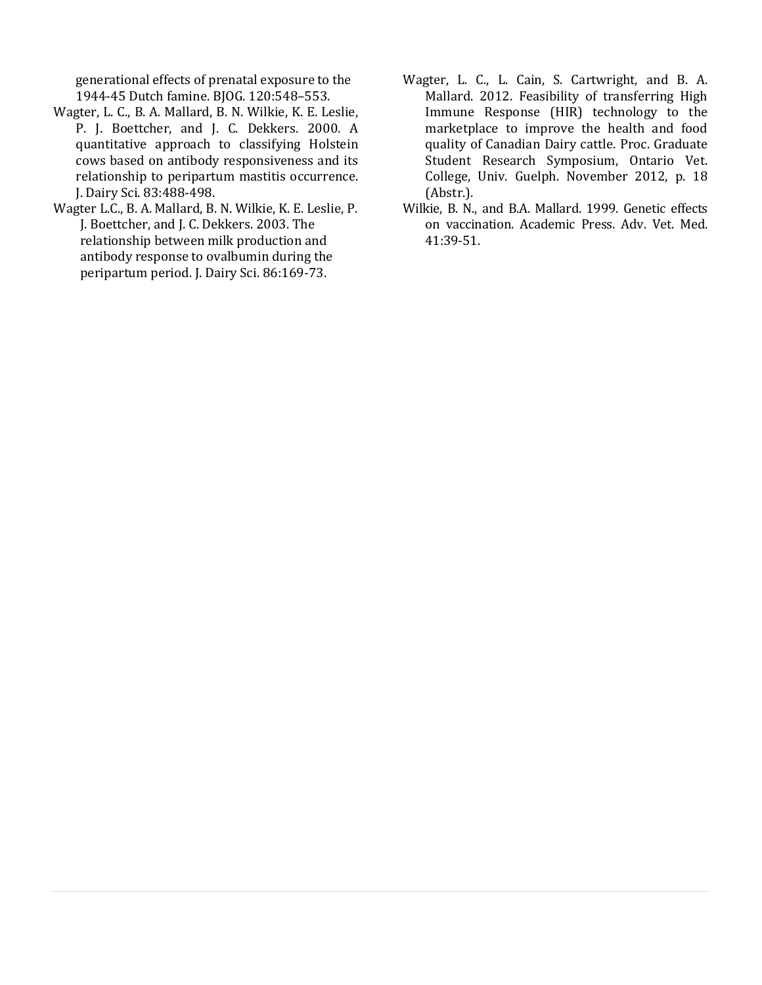generational effects of prenatal exposure to the 1944-45 Dutch famine. BJOG. 120:548–553.

- Wagter, L. C., B. A. Mallard, B. N. Wilkie, K. E. Leslie, P. J. Boettcher, and J. C. Dekkers. 2000. A quantitative approach to classifying Holstein cows based on antibody responsiveness and its relationship to peripartum mastitis occurrence. J. Dairy Sci. 83:488-498.
- Wagter L.C., B. A. Mallard, B. N. Wilkie, K. E. Leslie, P. J. Boettcher, and J. C. Dekkers. 2003. [The](http://www.ncbi.nlm.nih.gov/pubmed/12613862)  [relationship between milk production and](http://www.ncbi.nlm.nih.gov/pubmed/12613862)  [antibody response to ovalbumin during the](http://www.ncbi.nlm.nih.gov/pubmed/12613862)  [peripartum period.](http://www.ncbi.nlm.nih.gov/pubmed/12613862) J. Dairy Sci. 86:169-73.
- Wagter, L. C., L. Cain, S. Cartwright, and B. A. Mallard. 2012. Feasibility of transferring High Immune Response (HIR) technology to the marketplace to improve the health and food quality of Canadian Dairy cattle. Proc. Graduate Student Research Symposium, Ontario Vet. College, Univ. Guelph. November 2012, p. 18 (Abstr.).
- Wilkie, B. N., and B.A. Mallard. 1999. Genetic effects on vaccination. Academic Press. Adv. Vet. Med. 41:39-51.